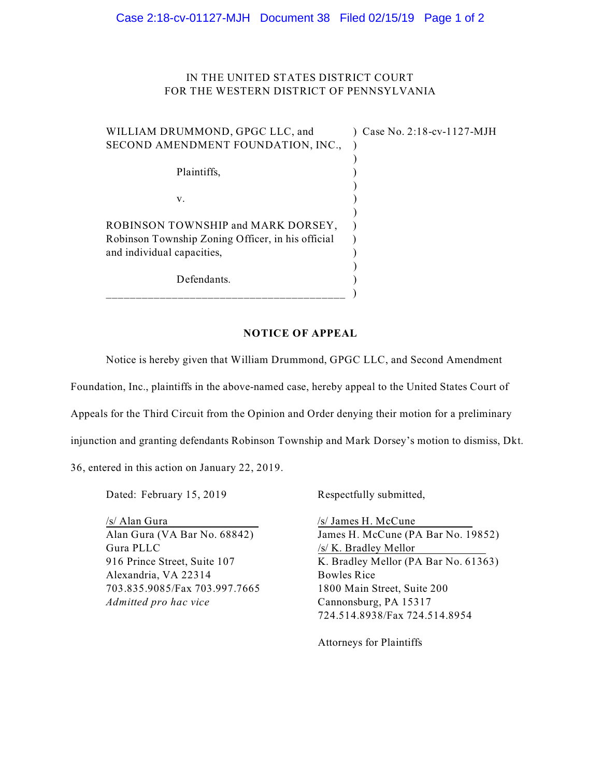## IN THE UNITED STATES DISTRICT COURT FOR THE WESTERN DISTRICT OF PENNSYLVANIA

| WILLIAM DRUMMOND, GPGC LLC, and<br>SECOND AMENDMENT FOUNDATION, INC.,                   | Case No. 2:18-cv-1127-MJH |
|-----------------------------------------------------------------------------------------|---------------------------|
| Plaintiffs,                                                                             |                           |
| V.                                                                                      |                           |
| ROBINSON TOWNSHIP and MARK DORSEY,<br>Robinson Township Zoning Officer, in his official |                           |
| and individual capacities,                                                              |                           |
| Defendants.                                                                             |                           |

## **NOTICE OF APPEAL**

Notice is hereby given that William Drummond, GPGC LLC, and Second Amendment

Foundation, Inc., plaintiffs in the above-named case, hereby appeal to the United States Court of

Appeals for the Third Circuit from the Opinion and Order denying their motion for a preliminary

injunction and granting defendants Robinson Township and Mark Dorsey's motion to dismiss, Dkt.

36, entered in this action on January 22, 2019.

Dated: February 15, 2019 Respectfully submitted,

/s/ Alan Gura /s/ James H. McCune Gura PLLC /s/ K. Bradley Mellor Alexandria, VA 22314 Bowles Rice 703.835.9085/Fax 703.997.7665 1800 Main Street, Suite 200 *Admitted pro hac vice* Cannonsburg, PA 15317

Alan Gura (VA Bar No. 68842) James H. McCune (PA Bar No. 19852) 916 Prince Street, Suite 107 K. Bradley Mellor (PA Bar No. 61363) 724.514.8938/Fax 724.514.8954

Attorneys for Plaintiffs